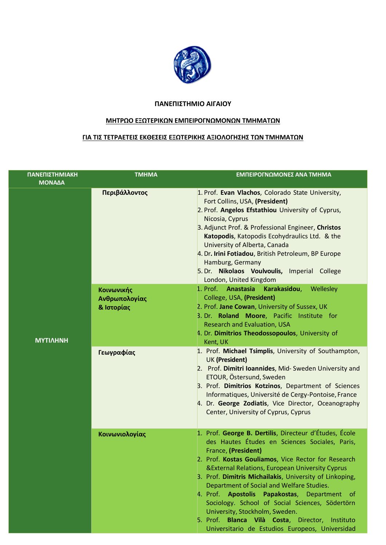

## **ΠΑΝΕΠΙΣΤΗΜΙΟ ΑΙΓΑΙΟΥ**

## **ΜΗΤΡΩΟ ΕΞΩΤΕΡΙΚΩΝ ΕΜΠΕΙΡΟΓΝΩΜΟΝΩΝ ΤΜΗΜΑΤΩΝ**

## **ΓΙΑ ΤΙΣ ΤΕΤΡΑΕΤΕΙΣ ΕΚΘΕΣΕΙΣ ΕΞΩΤΕΡΙΚΗΣ ΑΞΙΟΛΟΓΗΣΗΣ ΤΩΝ ΤΜΗΜΑΤΩΝ**

| ΠΑΝΕΠΙΣΤΗΜΙΑΚΗ<br><b>MONAΔA</b> | <b>TMHMA</b>                              | ΕΜΠΕΙΡΟΓΝΩΜΟΝΕΣ ΑΝΑ ΤΜΗΜΑ                                                                                                                                                                                                                                                                                                                                                                                                                                                                                                                                                                               |
|---------------------------------|-------------------------------------------|---------------------------------------------------------------------------------------------------------------------------------------------------------------------------------------------------------------------------------------------------------------------------------------------------------------------------------------------------------------------------------------------------------------------------------------------------------------------------------------------------------------------------------------------------------------------------------------------------------|
|                                 | Περιβάλλοντος                             | 1. Prof. Evan Vlachos, Colorado State University,<br>Fort Collins, USA, (President)<br>2. Prof. Angelos Efstathiou University of Cyprus,<br>Nicosia, Cyprus<br>3. Adjunct Prof. & Professional Engineer, Christos<br>Katopodis, Katopodis Ecohydraulics Ltd. & the<br>University of Alberta, Canada<br>4. Dr. Irini Fotiadou, British Petroleum, BP Europe<br>Hamburg, Germany<br>5. Dr. Nikolaos Voulvoulis, Imperial College<br>London, United Kingdom                                                                                                                                                |
| <b>MYTIAHNH</b>                 | Κοινωνικής<br>Ανθρωπολογίας<br>& Ιστορίας | 1. Prof. Anastasia Karakasidou, Wellesley<br>College, USA, (President)<br>2. Prof. Jane Cowan, University of Sussex, UK<br>3. Dr. Roland Moore, Pacific Institute for<br><b>Research and Evaluation, USA</b><br>4. Dr. Dimitrios Theodossopoulos, University of<br>Kent, UK                                                                                                                                                                                                                                                                                                                             |
|                                 | Γεωγραφίας                                | 1. Prof. Michael Tsimplis, University of Southampton,<br><b>UK (President)</b><br>2. Prof. Dimitri Ioannides, Mid- Sweden University and<br>ETOUR, Östersund, Sweden<br>3. Prof. Dimitrios Kotzinos, Department of Sciences<br>Informatiques, Université de Cergy-Pontoise, France<br>4. Dr. George Zodiatis, Vice Director, Oceanography<br>Center, University of Cyprus, Cyprus                                                                                                                                                                                                                       |
|                                 | Κοινωνιολογίας                            | 1. Prof. George B. Dertilis, Directeur d'Études, École<br>des Hautes Études en Sciences Sociales, Paris,<br>France, (President)<br>2. Prof. Kostas Gouliamos, Vice Rector for Research<br><b>&amp;External Relations, European University Cyprus</b><br>3. Prof. Dimitris Michailakis, University of Linkoping,<br>Department of Social and Welfare Studies.<br>4. Prof. Apostolis Papakostas, Department of<br>Sociology. School of Social Sciences, Södertörn<br>University, Stockholm, Sweden.<br>5. Prof. Blanca Vilà Costa, Director, Instituto<br>Universitario de Estudios Europeos, Universidad |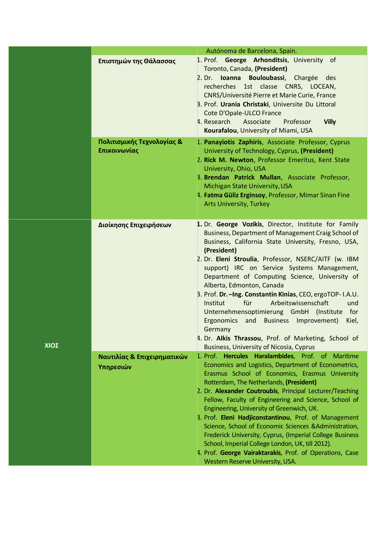|      |                                            | Autónoma de Barcelona, Spain.                                                                                                                                                                                                                                                                                                                                                                                                                                                                                                                                                                                                                                                                                     |
|------|--------------------------------------------|-------------------------------------------------------------------------------------------------------------------------------------------------------------------------------------------------------------------------------------------------------------------------------------------------------------------------------------------------------------------------------------------------------------------------------------------------------------------------------------------------------------------------------------------------------------------------------------------------------------------------------------------------------------------------------------------------------------------|
|      | Επιστημών της Θάλασσας                     | 1. Prof. George Arhonditsis, University of<br>Toronto, Canada, (President)<br>2. Dr. Ioanna Bouloubassi, Chargée des<br>recherches 1st classe CNRS, LOCEAN,<br>CNRS/Université Pierre et Marie Curie, France<br>3. Prof. Urania Christaki, Universite Du Littoral<br>Cote D'Opale-ULCO France<br>4. Research<br>Associate<br>Professor<br><b>Villy</b><br>Kourafalou, University of Miami, USA                                                                                                                                                                                                                                                                                                                    |
|      | Πολιτισμικής Τεχνολογίας &<br>Επικοινωνίας | 1. Panayiotis Zaphiris, Associate Professor, Cyprus<br>University of Technology, Cyprus, (President)<br>2. Rick M. Newton, Professor Emeritus, Kent State<br>University, Ohio, USA<br>3. Brendan Patrick Mullan, Associate Professor,<br>Michigan State University, USA<br>4. Fatma Güliz Erginsoy, Professor, Mimar Sinan Fine<br><b>Arts University, Turkey</b>                                                                                                                                                                                                                                                                                                                                                 |
| ΧΙΟΣ | Διοίκησης Επιχειρήσεων                     | 1. Dr. George Vozikis, Director, Institute for Family<br>Business, Department of Management Craig School of<br>Business, California State University, Fresno, USA,<br>(President)<br>2. Dr. Eleni Stroulia, Professor, NSERC/AITF (w. IBM<br>support) IRC on Service Systems Management,<br>Department of Computing Science, University of<br>Alberta, Edmonton, Canada<br>B. Prof. Dr. - Ing. Constantin Kinias, CEO, ergoTOP-I.A.U.<br>für<br>Arbeitswissenschaft<br>Institut<br>und<br>Unternehmensoptimierung GmbH (Institute<br>for<br>and Business Improvement)<br>Ergonomics<br>Kiel,<br>Germany<br>4. Dr. Alkis Thrassou, Prof. of Marketing, School of<br><b>Business, University of Nicosia, Cyprus</b> |
|      | Ναυτιλίας & Επιχειρηματικών<br>Υπηρεσιών   | 1. Prof. Hercules Haralambides, Prof. of Maritime<br>Economics and Logistics, Department of Econometrics,<br>Erasmus School of Economics, Erasmus University<br>Rotterdam, The Netherlands, (President)<br>2. Dr. Alexander Coutroubis, Principal Lecturer/Teaching<br>Fellow, Faculty of Engineering and Science, School of<br>Engineering, University of Greenwich, UK.<br>3. Prof. Eleni Hadjiconstantinou, Prof. of Management<br>Science, School of Economic Sciences & Administration,<br>Frederick University, Cyprus, (Imperial College Business<br>School, Imperial College London, UK, till 2012).<br>4. Prof. George Vairaktarakis, Prof. of Operations, Case<br>Western Reserve University, USA.      |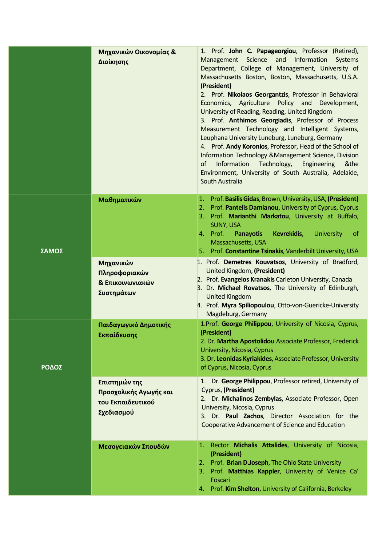|       | Μηχανικών Οικονομίας &<br>Διοίκησης                                         | 1. Prof. John C. Papageorgiou, Professor (Retired),<br>Management Science and<br>Information<br>Systems<br>Department, College of Management, University of<br>Massachusetts Boston, Boston, Massachusetts, U.S.A.<br>(President)<br>2. Prof. Nikolaos Georgantzis, Professor in Behavioral<br>Economics, Agriculture Policy and Development,<br>University of Reading, Reading, United Kingdom<br>3. Prof. Anthimos Georgiadis, Professor of Process<br>Measurement Technology and Intelligent Systems,<br>Leuphana University Luneburg, Luneburg, Germany<br>4. Prof. Andy Koronios, Professor, Head of the School of<br>Information Technology & Management Science, Division<br>Information Technology,<br>of<br>Engineering<br>&the<br>Environment, University of South Australia, Adelaide,<br>South Australia |
|-------|-----------------------------------------------------------------------------|----------------------------------------------------------------------------------------------------------------------------------------------------------------------------------------------------------------------------------------------------------------------------------------------------------------------------------------------------------------------------------------------------------------------------------------------------------------------------------------------------------------------------------------------------------------------------------------------------------------------------------------------------------------------------------------------------------------------------------------------------------------------------------------------------------------------|
| ΣΑΜΟΣ | Μαθηματικών<br>Μηχανικών<br>Πληροφοριακών<br>& Επικοινωνιακών<br>Συστημάτων | 1. Prof. Basilis Gidas, Brown, University, USA, (President)<br>2. Prof. Pantelis Damianou, University of Cyprus, Cyprus<br>3. Prof. Marianthi Markatou, University at Buffalo,<br><b>SUNY, USA</b><br>4. Prof.<br><b>Panayotis</b><br>Kevrekidis,<br><b>University</b><br><sub>of</sub><br>Massachusetts, USA<br>Prof. Constantine Tsinakis, Vanderbilt University, USA<br>5.<br>1. Prof. Demetres Kouvatsos, University of Bradford,<br>United Kingdom, (President)<br>2. Prof. Evangelos Kranakis Carleton University, Canada<br>3. Dr. Michael Rovatsos, The University of Edinburgh,<br><b>United Kingdom</b><br>4. Prof. Myra Spiliopoulou, Otto-von-Guericke-University                                                                                                                                        |
| ΡΟΔΟΣ | Παιδαγωγικό Δημοτικής<br>Εκπαίδευσης                                        | Magdeburg, Germany<br>1. Prof. George Philippou, University of Nicosia, Cyprus,<br>(President)<br>2. Dr. Martha Apostolidou Associate Professor, Frederick<br>University, Nicosia, Cyprus<br>3. Dr. Leonidas Kyriakides, Associate Professor, University<br>of Cyprus, Nicosia, Cyprus                                                                                                                                                                                                                                                                                                                                                                                                                                                                                                                               |
|       | Επιστημών της<br>Προσχολικής Αγωγής και<br>του Εκπαιδευτικού<br>Σχεδιασμού  | Dr. George Philippou, Professor retired, University of<br>1.<br>Cyprus, (President)<br>2. Dr. Michalinos Zembylas, Associate Professor, Open<br>University, Nicosia, Cyprus<br>3. Dr. Paul Zachos, Director Association for the<br>Cooperative Advancement of Science and Education                                                                                                                                                                                                                                                                                                                                                                                                                                                                                                                                  |
|       | Μεσογειακών Σπουδών                                                         | 1. Rector Michalis Attalides, University of Nicosia,<br>(President)<br>2. Prof. Brian D.Joseph, The Ohio State University<br>3. Prof. Matthias Kappler, University of Venice Ca'<br>Foscari<br>4. Prof. Kim Shelton, University of California, Berkeley                                                                                                                                                                                                                                                                                                                                                                                                                                                                                                                                                              |